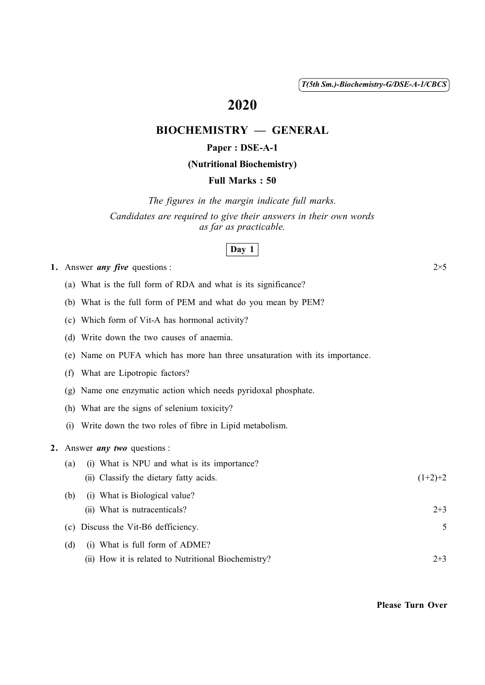( 1 ) *T(5th Sm.)-Biochemistry-G/DSE-A-1/CBCS*

# 2020

# BIOCHEMISTRY — GENERAL

### Paper : DSE-A-1

### (Nutritional Biochemistry)

#### Full Marks : 50

*The figures in the margin indicate full marks. Candidates are required to give their answers in their own words as far as practicable.*

#### Day 1

1. Answer *any five* questions :  $2 \times 5$ 

- (a) What is the full form of RDA and what is its significance?
- (b) What is the full form of PEM and what do you mean by PEM?
- (c) Which form of Vit-A has hormonal activity?
- (d) Write down the two causes of anaemia.
- (e) Name on PUFA which has more han three unsaturation with its importance.
- (f) What are Lipotropic factors?
- (g) Name one enzymatic action which needs pyridoxal phosphate.
- (h) What are the signs of selenium toxicity?
- (i) Write down the two roles of fibre in Lipid metabolism.

#### 2. Answer *any two* questions :

| (a) | (i) What is NPU and what is its importance?         |           |
|-----|-----------------------------------------------------|-----------|
|     | (ii) Classify the dietary fatty acids.              | $(1+2)+2$ |
| (b) | (i) What is Biological value?                       |           |
|     | (ii) What is nutracenticals?                        | $2 + 3$   |
|     | (c) Discuss the Vit-B6 defficiency.                 |           |
| (d) | (i) What is full form of ADME?                      |           |
|     | (ii) How it is related to Nutritional Biochemistry? | $2 + 3$   |

Please Turn Over